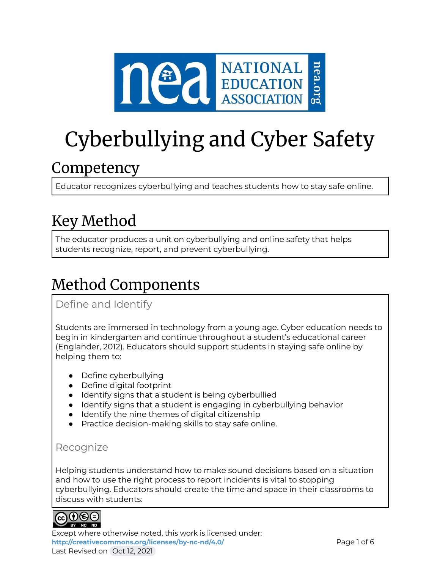

# Cyberbullying and Cyber Safety

### **Competency**

Educator recognizes cyberbullying and teaches students how to stay safe online.

## Key Method

The educator produces a unit on cyberbullying and online safety that helps students recognize, report, and prevent cyberbullying.

# Method Components

Define and Identify

Students are immersed in technology from a young age. Cyber education needs to begin in kindergarten and continue throughout a student's educational career (Englander, 2012). Educators should support students in staying safe online by helping them to:

- Define cyberbullying
- Define digital footprint
- Identify signs that a student is being cyberbullied
- Identify signs that a student is engaging in cyberbullying behavior
- Identify the nine themes of digital citizenship
- Practice decision-making skills to stay safe online.

### Recognize

Helping students understand how to make sound decisions based on a situation and how to use the right process to report incidents is vital to stopping cyberbullying. Educators should create the time and space in their classrooms to discuss with students:



Except where otherwise noted, this work is licensed under: <http://creativecommons.org/licenses/by-nc-nd/4.0/> **Page 1 of 6** Last Revised on Oct 12, 2021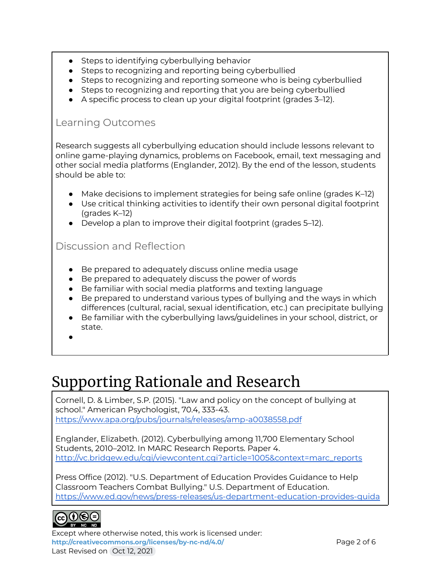- Steps to identifying cyberbullying behavior
- Steps to recognizing and reporting being cyberbullied
- Steps to recognizing and reporting someone who is being cyberbullied
- Steps to recognizing and reporting that you are being cyberbullied
- A specific process to clean up your digital footprint (grades 3–12).

#### Learning Outcomes

Research suggests all cyberbullying education should include lessons relevant to online game-playing dynamics, problems on Facebook, email, text messaging and other social media platforms (Englander, 2012). By the end of the lesson, students should be able to:

- Make decisions to implement strategies for being safe online (grades K–12)
- Use critical thinking activities to identify their own personal digital footprint (grades K–12)
- Develop a plan to improve their digital footprint (grades 5–12).

### Discussion and Reflection

- Be prepared to adequately discuss online media usage
- Be prepared to adequately discuss the power of words
- Be familiar with social media platforms and texting language
- Be prepared to understand various types of bullying and the ways in which differences (cultural, racial, sexual identification, etc.) can precipitate bullying
- Be familiar with the cyberbullying laws/guidelines in your school, district, or state.
- ●

### Supporting Rationale and Research

Cornell, D. & Limber, S.P. (2015). "Law and policy on the concept of bullying at school." American Psychologist, 70.4, 333-43. <https://www.apa.org/pubs/journals/releases/amp-a0038558.pdf>

Englander, Elizabeth. (2012). Cyberbullying among 11,700 Elementary School Students, 2010–2012. In MARC Research Reports. Paper 4. [http://vc.bridgew.edu/cgi/viewcontent.cgi?article=1005&context=marc\\_reports](http://vc.bridgew.edu/cgi/viewcontent.cgi?article=1005&context=marc_reports)

Press Office (2012). "U.S. Department of Education Provides Guidance to Help Classroom Teachers Combat Bullying." U.S. Department of Education. [https://www.ed.gov/news/press-releases/us-department-education-provides-guida](https://www.ed.gov/news/press-releases/us-department-education-provides-guidance-help-classroom-teachers-combat-bullying)



Except where otherwise noted, this work is licensed under: **<http://creativecommons.org/licenses/by-nc-nd/4.0/>** Page 2 of 6 Last Revised on Oct 12, 2021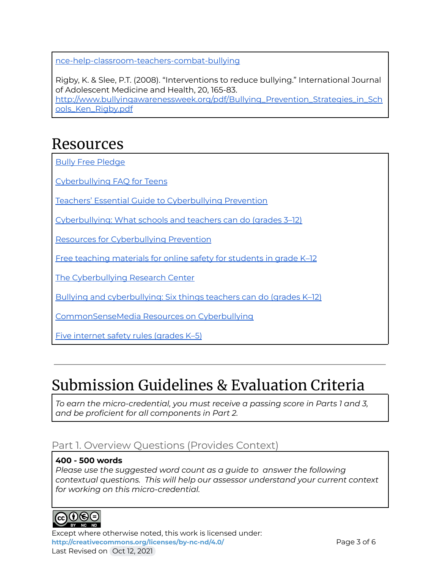[nce-help-classroom-teachers-combat-bullying](https://www.ed.gov/news/press-releases/us-department-education-provides-guidance-help-classroom-teachers-combat-bullying)

Rigby, K. & Slee, P.T. (2008). "Interventions to reduce bullying." International Journal of Adolescent Medicine and Health, 20, 165-83.

[http://www.bullyingawarenessweek.org/pdf/Bullying\\_Prevention\\_Strategies\\_in\\_Sch](http://www.bullyingawarenessweek.org/pdf/Bullying_Prevention_Strategies_in_Schools_Ken_Rigby.pdf) [ools\\_Ken\\_Rigby.pdf](http://www.bullyingawarenessweek.org/pdf/Bullying_Prevention_Strategies_in_Schools_Ken_Rigby.pdf)

### Resources

Bully Free [Pledge](https://neaedjustice.org/facing-hate-and-bias/)

[Cyberbullying](https://www.ncpc.org/resources/cyberbullying/cyberbullying-faq-for-teens/) FAQ for Teens

Teachers' Essential Guide to [Cyberbullying](https://www.commonsense.org/education/articles/teachers-essential-guide-to-cyberbullying-prevention) Prevention

[Cyberbullying:](https://www.scholastic.com/teachers/articles/teaching-content/cyberbullying-what-teachers-and-schools-can-do/) What schools and teachers can do (grades 3–12)

Resources for [Cyberbullying](https://www.ncpc.org/resources/cyberbullying/) Prevention

Free teaching [materials](https://www.missingkids.org/netsmartz/topics/cyberbullying) for online safety for students in grade K-12

The [Cyberbullying](http://cyberbullying.org/) Research Center

Bullying and [cyberbullying:](http://www.educationworld.com/a_curr/what-schools-can-do-to-stop-bullying.shtml) Six things teachers can do (grades K–12)

[CommonSenseMedia](https://www.commonsensemedia.org/search/cyberbullying) Resources on Cyberbullying

Five [internet](http://www.abcya.com/cyber_five_internet_safety.htm) safety rules (grades K–5)

### Submission Guidelines & Evaluation Criteria

*To earn the micro-credential, you must receive a passing score in Parts 1 and 3, and be proficient for all components in Part 2.*

### Part 1. Overview Questions (Provides Context)

#### **400 - 500 words**

*Please use the suggested word count as a guide to answer the following contextual questions. This will help our assessor understand your current context for working on this micro-credential.*



Except where otherwise noted, this work is licensed under: <http://creativecommons.org/licenses/by-nc-nd/4.0/> **Page 3 of 6** Last Revised on Oct 12, 2021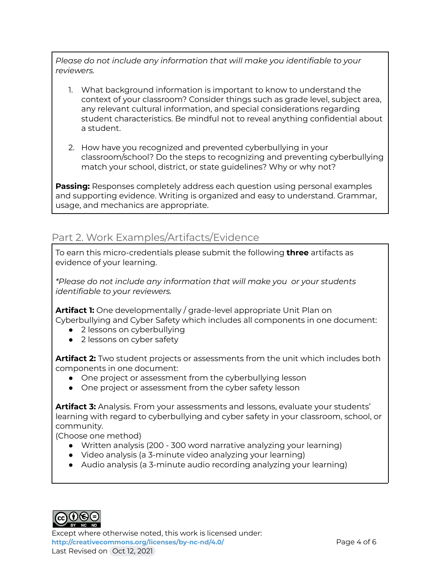*Please do not include any information that will make you identifiable to your reviewers.*

- 1. What background information is important to know to understand the context of your classroom? Consider things such as grade level, subject area, any relevant cultural information, and special considerations regarding student characteristics. Be mindful not to reveal anything confidential about a student.
- 2. How have you recognized and prevented cyberbullying in your classroom/school? Do the steps to recognizing and preventing cyberbullying match your school, district, or state guidelines? Why or why not?

**Passing:** Responses completely address each question using personal examples and supporting evidence. Writing is organized and easy to understand. Grammar, usage, and mechanics are appropriate.

### Part 2. Work Examples/Artifacts/Evidence

To earn this micro-credentials please submit the following **three** artifacts as evidence of your learning.

*\*Please do not include any information that will make you or your students identifiable to your reviewers.*

**Artifact 1:** One developmentally / grade-level appropriate Unit Plan on Cyberbullying and Cyber Safety which includes all components in one document:

- 2 lessons on cyberbullying
- 2 lessons on cyber safety

**Artifact 2:** Two student projects or assessments from the unit which includes both components in one document:

- One project or assessment from the cyberbullying lesson
- One project or assessment from the cyber safety lesson

**Artifact 3:** Analysis. From your assessments and lessons, evaluate your students' learning with regard to cyberbullying and cyber safety in your classroom, school, or community.

(Choose one method)

- Written analysis (200 300 word narrative analyzing your learning)
- Video analysis (a 3-minute video analyzing your learning)
- Audio analysis (a 3-minute audio recording analyzing your learning)



Except where otherwise noted, this work is licensed under: <http://creativecommons.org/licenses/by-nc-nd/4.0/><br>
Page 4 of 6 Last Revised on Oct 12, 2021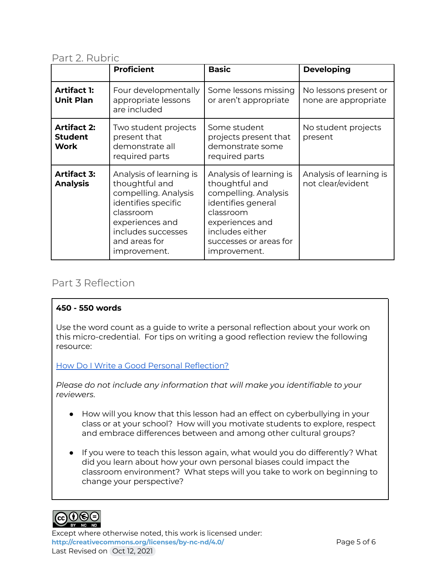#### Part 2. Rubric

|                                                     | <b>Proficient</b>                                                                                                                                                               | <b>Basic</b>                                                                                                                                                                         | <b>Developing</b>                             |
|-----------------------------------------------------|---------------------------------------------------------------------------------------------------------------------------------------------------------------------------------|--------------------------------------------------------------------------------------------------------------------------------------------------------------------------------------|-----------------------------------------------|
| <b>Artifact 1:</b><br><b>Unit Plan</b>              | Four developmentally<br>appropriate lessons<br>are included                                                                                                                     | Some lessons missing<br>or aren't appropriate                                                                                                                                        | No lessons present or<br>none are appropriate |
| <b>Artifact 2:</b><br><b>Student</b><br><b>Work</b> | Two student projects<br>present that<br>demonstrate all<br>required parts                                                                                                       | Some student<br>projects present that<br>demonstrate some<br>required parts                                                                                                          | No student projects<br>present                |
| <b>Artifact 3:</b><br><b>Analysis</b>               | Analysis of learning is<br>thoughtful and<br>compelling. Analysis<br>identifies specific<br>classroom<br>experiences and<br>includes successes<br>and areas for<br>improvement. | Analysis of learning is<br>thoughtful and<br>compelling. Analysis<br>identifies general<br>classroom<br>experiences and<br>includes either<br>successes or areas for<br>improvement. | Analysis of learning is<br>not clear/evident  |

### Part 3 Reflection

#### **450 - 550 words**

Use the word count as a guide to write a personal reflection about your work on this micro-credential. For tips on writing a good reflection review the following resource:

How Do I Write a Good Personal [Reflection?](https://isthismystory.com/learning/how-do-i-write-a-good-personal-reflection/)

*Please do not include any information that will make you identifiable to your reviewers*.

- How will you know that this lesson had an effect on cyberbullying in your class or at your school? How will you motivate students to explore, respect and embrace differences between and among other cultural groups?
- If you were to teach this lesson again, what would you do differently? What did you learn about how your own personal biases could impact the classroom environment? What steps will you take to work on beginning to change your perspective?



Except where otherwise noted, this work is licensed under: <http://creativecommons.org/licenses/by-nc-nd/4.0/><br>
Page 5 of 6 Last Revised on Oct 12, 2021